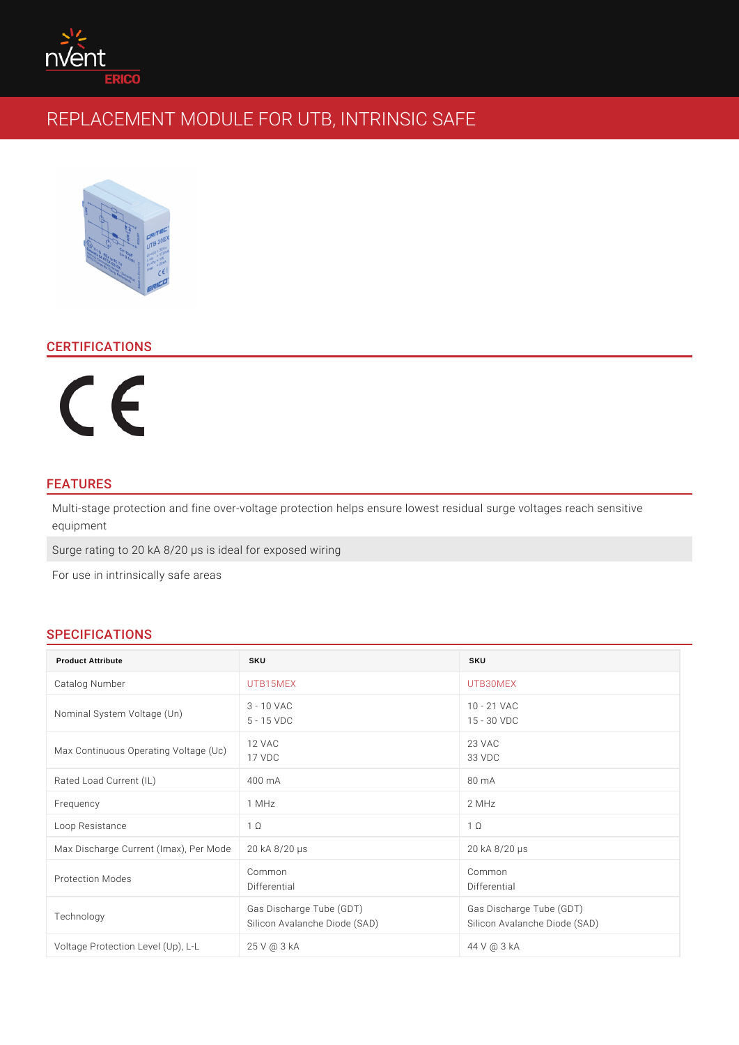# CERTIFICATIONS

# FEATURES

Multi-stage protection and fine over-voltage protection helps ensure lowest resi equipment

Surge rating to 20 kA 8/20 ¼s is ideal for exposed wiring

For use in intrinsically safe areas

# SPECIFICATIONS

| <b>Product Attribute</b>                                             | SKU                                               | SKU                                                        |
|----------------------------------------------------------------------|---------------------------------------------------|------------------------------------------------------------|
| Catalog Number                                                       | UTB15MEX                                          | UTB30MEX                                                   |
| Nominal System Voltage                                               | $(\bigcup_{5}^{3} - 10$ VAC<br>5 - 15 VDC         | 10 - 21 VAC<br>15 - 30 VDC                                 |
| Max Continuous Operating Youtage<br>Max Continuous Operating Youtage | (U <sub>c</sub> )                                 | 23 VAC<br>33 VDC                                           |
| Rated Load Current (IL)                                              | 400 m A                                           | 80 m A                                                     |
| Frequency                                                            | 1 $MHz$                                           | 2 MHz                                                      |
| Loop Resistance                                                      | $1^\circ$                                         | 1 ©                                                        |
| Max Discharge Current (Im 20) k R & n' 2Mo & s                       |                                                   | 20 kA 8/20 1/4 s                                           |
| Protection Modes                                                     | $C_0$ m m $O_0$ n<br>Differential                 | Common<br>Differential                                     |
| Technology                                                           | Gas Discharge Tube (GDT) Gas Discharge Tube (GDT) | Silicon Avalanche Diode (SAD)Silicon Avalanche Diode (SAD) |
| Voltage Protection Level (12,5), V L@L3 k A                          |                                                   | 44 V @ 3 kA                                                |